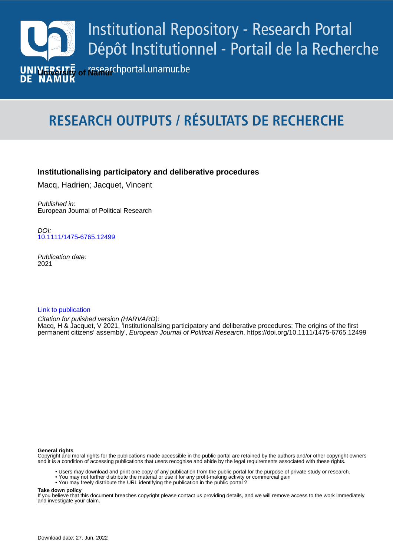

# **RESEARCH OUTPUTS / RÉSULTATS DE RECHERCHE**

# **Institutionalising participatory and deliberative procedures**

Macq, Hadrien; Jacquet, Vincent

Published in: European Journal of Political Research

**Author(s) - Auteur(s) :** [10.1111/1475-6765.12499](https://doi.org/10.1111/1475-6765.12499) DOI:

> Publication date: 2021

# [Link to publication](https://researchportal.unamur.be/en/publications/8234eba7-aa9d-49f5-a7bc-fd72d9acc830)

permanent citizens<sup>'</sup> assembly', *European Journal of Political Research*.<https://doi.org/10.1111/1475-6765.12499> Citation for pulished version (HARVARD): Macq, H & Jacquet, V 2021, 'Institutionalising participatory and deliberative procedures: The origins of the first

## **General rights**

Copyright and moral rights for the publications made accessible in the public portal are retained by the authors and/or other copyright owners and it is a condition of accessing publications that users recognise and abide by the legal requirements associated with these rights.

- Users may download and print one copy of any publication from the public portal for the purpose of private study or research.
- You may not further distribute the material or use it for any profit-making activity or commercial gain
- You may freely distribute the URL identifying the publication in the public portal ?

## **Take down policy**

If you believe that this document breaches copyright please contact us providing details, and we will remove access to the work immediately and investigate your claim.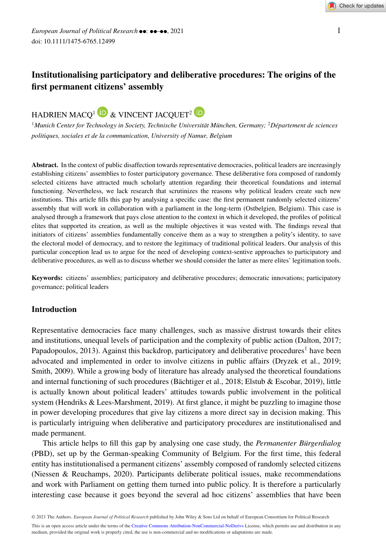# **Institutionalising participatory and deliberative procedures: The origins of the first permanent citizens' assembly**



<sup>1</sup>*Munich Center for Technology in Society, Technische Universität München, Germany;* <sup>2</sup>*Département de sciences politiques, sociales et de la communication, University of Namur, Belgium*

**Abstract.** In the context of public disaffection towards representative democracies, political leaders are increasingly establishing citizens' assemblies to foster participatory governance. These deliberative fora composed of randomly selected citizens have attracted much scholarly attention regarding their theoretical foundations and internal functioning. Nevertheless, we lack research that scrutinizes the reasons why political leaders create such new institutions. This article fills this gap by analysing a specific case: the first permanent randomly selected citizens' assembly that will work in collaboration with a parliament in the long-term (Ostbelgien, Belgium). This case is analysed through a framework that pays close attention to the context in which it developed, the profiles of political elites that supported its creation, as well as the multiple objectives it was vested with. The findings reveal that initiators of citizens' assemblies fundamentally conceive them as a way to strengthen a polity's identity, to save the electoral model of democracy, and to restore the legitimacy of traditional political leaders. Our analysis of this particular conception lead us to argue for the need of developing context-sentive approaches to participatory and deliberative procedures, as well as to discuss whether we should consider the latter as mere elites' legitimation tools.

**Keywords:** citizens' assemblies; participatory and deliberative procedures; democratic innovations; participatory governance; political leaders

# **Introduction**

Representative democracies face many challenges, such as massive distrust towards their elites and institutions, unequal levels of participation and the complexity of public action (Dalton, 2017; Papadopoulos, 2013). Against this backdrop, participatory and deliberative procedures<sup>1</sup> have been advocated and implemented in order to involve citizens in public affairs (Dryzek et al., 2019; Smith, 2009). While a growing body of literature has already analysed the theoretical foundations and internal functioning of such procedures (Bächtiger et al., 2018; Elstub & Escobar, 2019), little is actually known about political leaders' attitudes towards public involvement in the political system (Hendriks & Lees-Marshment, 2019). At first glance, it might be puzzling to imagine those in power developing procedures that give lay citizens a more direct say in decision making. This is particularly intriguing when deliberative and participatory procedures are institutionalised and made permanent.

This article helps to fill this gap by analysing one case study, the *Permanenter Bürgerdialog* (PBD), set up by the German-speaking Community of Belgium. For the first time, this federal entity has institutionalised a permanent citizens' assembly composed of randomly selected citizens (Niessen & Reuchamps, 2020). Participants deliberate political issues, make recommendations and work with Parliament on getting them turned into public policy. It is therefore a particularly interesting case because it goes beyond the several ad hoc citizens' assemblies that have been

© 2021 The Authors. *European Journal of Political Research* published by John Wiley & Sons Ltd on behalf of European Consortium for Political Research This is an open access article under the terms of the [Creative Commons Attribution-NonCommercial-NoDerivs](http://creativecommons.org/licenses/by-nc-nd/4.0/) License, which permits use and distribution in any medium, provided the original work is properly cited, the use is non-commercial and no modifications or adaptations are made.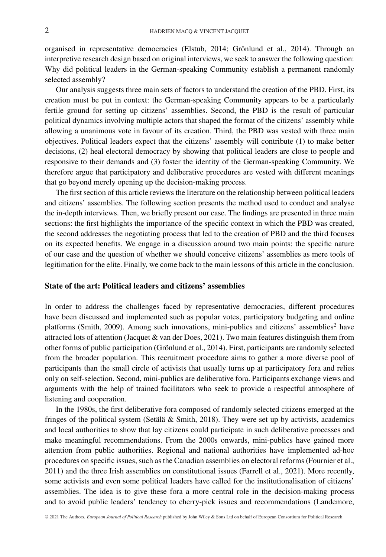organised in representative democracies (Elstub, 2014; Grönlund et al., 2014). Through an interpretive research design based on original interviews, we seek to answer the following question: Why did political leaders in the German-speaking Community establish a permanent randomly selected assembly?

Our analysis suggests three main sets of factors to understand the creation of the PBD. First, its creation must be put in context: the German-speaking Community appears to be a particularly fertile ground for setting up citizens' assemblies. Second, the PBD is the result of particular political dynamics involving multiple actors that shaped the format of the citizens' assembly while allowing a unanimous vote in favour of its creation. Third, the PBD was vested with three main objectives. Political leaders expect that the citizens' assembly will contribute (1) to make better decisions, (2) heal electoral democracy by showing that political leaders are close to people and responsive to their demands and (3) foster the identity of the German-speaking Community. We therefore argue that participatory and deliberative procedures are vested with different meanings that go beyond merely opening up the decision-making process.

The first section of this article reviews the literature on the relationship between political leaders and citizens' assemblies. The following section presents the method used to conduct and analyse the in-depth interviews. Then, we briefly present our case. The findings are presented in three main sections: the first highlights the importance of the specific context in which the PBD was created, the second addresses the negotiating process that led to the creation of PBD and the third focuses on its expected benefits. We engage in a discussion around two main points: the specific nature of our case and the question of whether we should conceive citizens' assemblies as mere tools of legitimation for the elite. Finally, we come back to the main lessons of this article in the conclusion.

#### **State of the art: Political leaders and citizens' assemblies**

In order to address the challenges faced by representative democracies, different procedures have been discussed and implemented such as popular votes, participatory budgeting and online platforms (Smith, 2009). Among such innovations, mini-publics and citizens' assemblies<sup>2</sup> have attracted lots of attention (Jacquet & van der Does, 2021). Two main features distinguish them from other forms of public participation (Grönlund et al., 2014). First, participants are randomly selected from the broader population. This recruitment procedure aims to gather a more diverse pool of participants than the small circle of activists that usually turns up at participatory fora and relies only on self-selection. Second, mini-publics are deliberative fora. Participants exchange views and arguments with the help of trained facilitators who seek to provide a respectful atmosphere of listening and cooperation.

In the 1980s, the first deliberative fora composed of randomly selected citizens emerged at the fringes of the political system (Setälä & Smith, 2018). They were set up by activists, academics and local authorities to show that lay citizens could participate in such deliberative processes and make meaningful recommendations. From the 2000s onwards, mini-publics have gained more attention from public authorities. Regional and national authorities have implemented ad-hoc procedures on specific issues, such as the Canadian assemblies on electoral reforms (Fournier et al., 2011) and the three Irish assemblies on constitutional issues (Farrell et al., 2021). More recently, some activists and even some political leaders have called for the institutionalisation of citizens' assemblies. The idea is to give these fora a more central role in the decision-making process and to avoid public leaders' tendency to cherry-pick issues and recommendations (Landemore,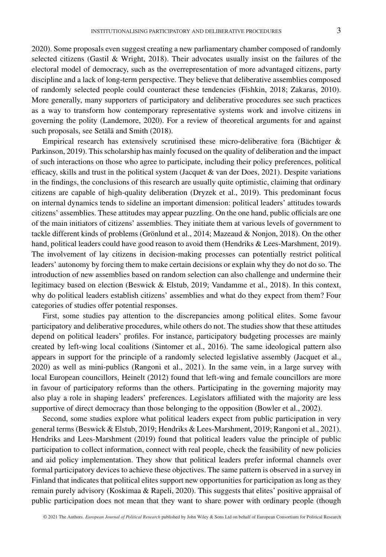2020). Some proposals even suggest creating a new parliamentary chamber composed of randomly selected citizens (Gastil & Wright, 2018). Their advocates usually insist on the failures of the electoral model of democracy, such as the overrepresentation of more advantaged citizens, party discipline and a lack of long-term perspective. They believe that deliberative assemblies composed of randomly selected people could counteract these tendencies (Fishkin, 2018; Zakaras, 2010). More generally, many supporters of participatory and deliberative procedures see such practices as a way to transform how contemporary representative systems work and involve citizens in governing the polity (Landemore, 2020). For a review of theoretical arguments for and against such proposals, see Setälä and Smith (2018).

Empirical research has extensively scrutinised these micro-deliberative fora (Bächtiger & Parkinson, 2019). This scholarship has mainly focused on the quality of deliberation and the impact of such interactions on those who agree to participate, including their policy preferences, political efficacy, skills and trust in the political system (Jacquet & van der Does,  $2021$ ). Despite variations in the findings, the conclusions of this research are usually quite optimistic, claiming that ordinary citizens are capable of high-quality deliberation (Dryzek et al., 2019). This predominant focus on internal dynamics tends to sideline an important dimension: political leaders' attitudes towards citizens' assemblies. These attitudes may appear puzzling. On the one hand, public officials are one of the main initiators of citizens' assemblies. They initiate them at various levels of government to tackle different kinds of problems (Grönlund et al., 2014; Mazeaud & Nonjon, 2018). On the other hand, political leaders could have good reason to avoid them (Hendriks & Lees-Marshment, 2019). The involvement of lay citizens in decision-making processes can potentially restrict political leaders' autonomy by forcing them to make certain decisions or explain why they do not do so. The introduction of new assemblies based on random selection can also challenge and undermine their legitimacy based on election (Beswick & Elstub, 2019; Vandamme et al., 2018). In this context, why do political leaders establish citizens' assemblies and what do they expect from them? Four categories of studies offer potential responses.

First, some studies pay attention to the discrepancies among political elites. Some favour participatory and deliberative procedures, while others do not. The studies show that these attitudes depend on political leaders' profiles. For instance, participatory budgeting processes are mainly created by left-wing local coalitions (Sintomer et al., 2016). The same ideological pattern also appears in support for the principle of a randomly selected legislative assembly (Jacquet et al., 2020) as well as mini-publics (Rangoni et al., 2021). In the same vein, in a large survey with local European councillors, Heinelt (2012) found that left-wing and female councillors are more in favour of participatory reforms than the others. Participating in the governing majority may also play a role in shaping leaders' preferences. Legislators affiliated with the majority are less supportive of direct democracy than those belonging to the opposition (Bowler et al., 2002).

Second, some studies explore what political leaders expect from public participation in very general terms (Beswick & Elstub, 2019; Hendriks & Lees-Marshment, 2019; Rangoni et al., 2021). Hendriks and Lees-Marshment (2019) found that political leaders value the principle of public participation to collect information, connect with real people, check the feasibility of new policies and aid policy implementation. They show that political leaders prefer informal channels over formal participatory devices to achieve these objectives. The same pattern is observed in a survey in Finland that indicates that political elites support new opportunities for participation as long as they remain purely advisory (Koskimaa & Rapeli, 2020). This suggests that elites' positive appraisal of public participation does not mean that they want to share power with ordinary people (though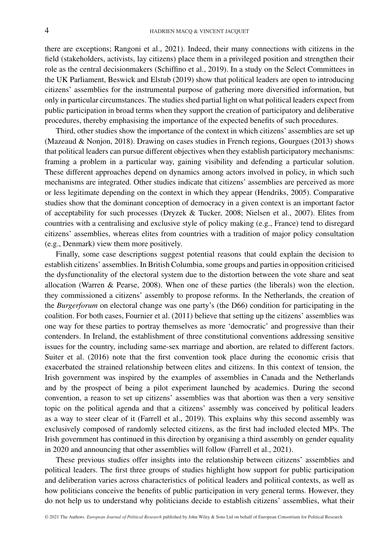there are exceptions; Rangoni et al., 2021). Indeed, their many connections with citizens in the field (stakeholders, activists, lay citizens) place them in a privileged position and strengthen their role as the central decisionmakers (Schiffino et al., 2019). In a study on the Select Committees in the UK Parliament, Beswick and Elstub (2019) show that political leaders are open to introducing citizens' assemblies for the instrumental purpose of gathering more diversified information, but only in particular circumstances. The studies shed partial light on what political leaders expect from public participation in broad terms when they support the creation of participatory and deliberative procedures, thereby emphasising the importance of the expected benefits of such procedures.

Third, other studies show the importance of the context in which citizens' assemblies are set up (Mazeaud & Nonjon, 2018). Drawing on cases studies in French regions, Gourgues (2013) shows that political leaders can pursue different objectives when they establish participatory mechanisms: framing a problem in a particular way, gaining visibility and defending a particular solution. These different approaches depend on dynamics among actors involved in policy, in which such mechanisms are integrated. Other studies indicate that citizens' assemblies are perceived as more or less legitimate depending on the context in which they appear (Hendriks, 2005). Comparative studies show that the dominant conception of democracy in a given context is an important factor of acceptability for such processes (Dryzek & Tucker, 2008; Nielsen et al., 2007). Elites from countries with a centralising and exclusive style of policy making (e.g., France) tend to disregard citizens' assemblies, whereas elites from countries with a tradition of major policy consultation (e.g., Denmark) view them more positively.

Finally, some case descriptions suggest potential reasons that could explain the decision to establish citizens' assemblies. In British Columbia, some groups and parties in opposition criticised the dysfunctionality of the electoral system due to the distortion between the vote share and seat allocation (Warren & Pearse, 2008). When one of these parties (the liberals) won the election, they commissioned a citizens' assembly to propose reforms. In the Netherlands, the creation of the *Burgerforum* on electoral change was one party's (the D66) condition for participating in the coalition. For both cases, Fournier et al. (2011) believe that setting up the citizens' assemblies was one way for these parties to portray themselves as more 'democratic' and progressive than their contenders. In Ireland, the establishment of three constitutional conventions addressing sensitive issues for the country, including same-sex marriage and abortion, are related to different factors. Suiter et al. (2016) note that the first convention took place during the economic crisis that exacerbated the strained relationship between elites and citizens. In this context of tension, the Irish government was inspired by the examples of assemblies in Canada and the Netherlands and by the prospect of being a pilot experiment launched by academics. During the second convention, a reason to set up citizens' assemblies was that abortion was then a very sensitive topic on the political agenda and that a citizens' assembly was conceived by political leaders as a way to steer clear of it (Farrell et al., 2019). This explains why this second assembly was exclusively composed of randomly selected citizens, as the first had included elected MPs. The Irish government has continued in this direction by organising a third assembly on gender equality in 2020 and announcing that other assemblies will follow (Farrell et al., 2021).

These previous studies offer insights into the relationship between citizens' assemblies and political leaders. The first three groups of studies highlight how support for public participation and deliberation varies across characteristics of political leaders and political contexts, as well as how politicians conceive the benefits of public participation in very general terms. However, they do not help us to understand why politicians decide to establish citizens' assemblies, what their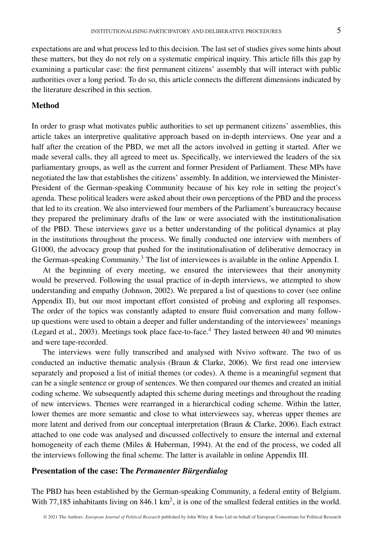expectations are and what process led to this decision. The last set of studies gives some hints about these matters, but they do not rely on a systematic empirical inquiry. This article fills this gap by examining a particular case: the first permanent citizens' assembly that will interact with public authorities over a long period. To do so, this article connects the different dimensions indicated by the literature described in this section.

# **Method**

In order to grasp what motivates public authorities to set up permanent citizens' assemblies, this article takes an interpretive qualitative approach based on in-depth interviews. One year and a half after the creation of the PBD, we met all the actors involved in getting it started. After we made several calls, they all agreed to meet us. Specifically, we interviewed the leaders of the six parliamentary groups, as well as the current and former President of Parliament. These MPs have negotiated the law that establishes the citizens' assembly. In addition, we interviewed the Minister-President of the German-speaking Community because of his key role in setting the project's agenda. These political leaders were asked about their own perceptions of the PBD and the process that led to its creation. We also interviewed four members of the Parliament's bureaucracy because they prepared the preliminary drafts of the law or were associated with the institutionalisation of the PBD. These interviews gave us a better understanding of the political dynamics at play in the institutions throughout the process. We finally conducted one interview with members of G1000, the advocacy group that pushed for the institutionalisation of deliberative democracy in the German-speaking Community.<sup>3</sup> The list of interviewees is available in the online Appendix I.

At the beginning of every meeting, we ensured the interviewees that their anonymity would be preserved. Following the usual practice of in-depth interviews, we attempted to show understanding and empathy (Johnson, 2002). We prepared a list of questions to cover (see online Appendix II), but our most important effort consisted of probing and exploring all responses. The order of the topics was constantly adapted to ensure fluid conversation and many followup questions were used to obtain a deeper and fuller understanding of the interviewees' meanings (Legard et al., 2003). Meetings took place face-to-face.<sup>4</sup> They lasted between 40 and 90 minutes and were tape-recorded.

The interviews were fully transcribed and analysed with Nvivo software. The two of us conducted an inductive thematic analysis (Braun & Clarke, 2006). We first read one interview separately and proposed a list of initial themes (or codes). A theme is a meaningful segment that can be a single sentence or group of sentences. We then compared our themes and created an initial coding scheme. We subsequently adapted this scheme during meetings and throughout the reading of new interviews. Themes were rearranged in a hierarchical coding scheme. Within the latter, lower themes are more semantic and close to what interviewees say, whereas upper themes are more latent and derived from our conceptual interpretation (Braun & Clarke, 2006). Each extract attached to one code was analysed and discussed collectively to ensure the internal and external homogeneity of each theme (Miles & Huberman, 1994). At the end of the process, we coded all the interviews following the final scheme. The latter is available in online Appendix III.

#### **Presentation of the case: The** *Permanenter Bürgerdialog*

The PBD has been established by the German-speaking Community, a federal entity of Belgium. With 77,185 inhabitants living on 846.1  $km^2$ , it is one of the smallest federal entities in the world.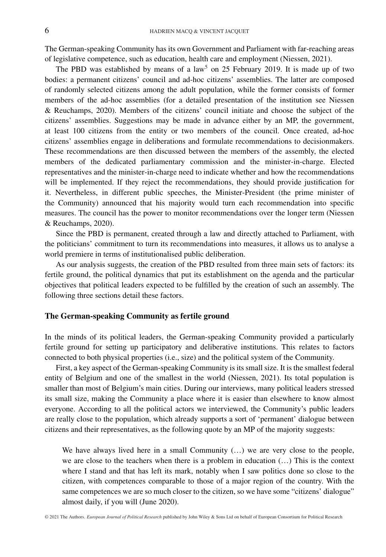The German-speaking Community has its own Government and Parliament with far-reaching areas of legislative competence, such as education, health care and employment (Niessen, 2021).

The PBD was established by means of a law<sup>5</sup> on 25 February 2019. It is made up of two bodies: a permanent citizens' council and ad-hoc citizens' assemblies. The latter are composed of randomly selected citizens among the adult population, while the former consists of former members of the ad-hoc assemblies (for a detailed presentation of the institution see Niessen & Reuchamps, 2020). Members of the citizens' council initiate and choose the subject of the citizens' assemblies. Suggestions may be made in advance either by an MP, the government, at least 100 citizens from the entity or two members of the council. Once created, ad-hoc citizens' assemblies engage in deliberations and formulate recommendations to decisionmakers. These recommendations are then discussed between the members of the assembly, the elected members of the dedicated parliamentary commission and the minister-in-charge. Elected representatives and the minister-in-charge need to indicate whether and how the recommendations will be implemented. If they reject the recommendations, they should provide justification for it. Nevertheless, in different public speeches, the Minister-President (the prime minister of the Community) announced that his majority would turn each recommendation into specific measures. The council has the power to monitor recommendations over the longer term (Niessen & Reuchamps, 2020).

Since the PBD is permanent, created through a law and directly attached to Parliament, with the politicians' commitment to turn its recommendations into measures, it allows us to analyse a world premiere in terms of institutionalised public deliberation.

As our analysis suggests, the creation of the PBD resulted from three main sets of factors: its fertile ground, the political dynamics that put its establishment on the agenda and the particular objectives that political leaders expected to be fulfilled by the creation of such an assembly. The following three sections detail these factors.

#### **The German-speaking Community as fertile ground**

In the minds of its political leaders, the German-speaking Community provided a particularly fertile ground for setting up participatory and deliberative institutions. This relates to factors connected to both physical properties (i.e., size) and the political system of the Community.

First, a key aspect of the German-speaking Community is its small size. It is the smallest federal entity of Belgium and one of the smallest in the world (Niessen, 2021). Its total population is smaller than most of Belgium's main cities. During our interviews, many political leaders stressed its small size, making the Community a place where it is easier than elsewhere to know almost everyone. According to all the political actors we interviewed, the Community's public leaders are really close to the population, which already supports a sort of 'permanent' dialogue between citizens and their representatives, as the following quote by an MP of the majority suggests:

We have always lived here in a small Community (…) we are very close to the people, we are close to the teachers when there is a problem in education (…) This is the context where I stand and that has left its mark, notably when I saw politics done so close to the citizen, with competences comparable to those of a major region of the country. With the same competences we are so much closer to the citizen, so we have some "citizens' dialogue" almost daily, if you will (June 2020).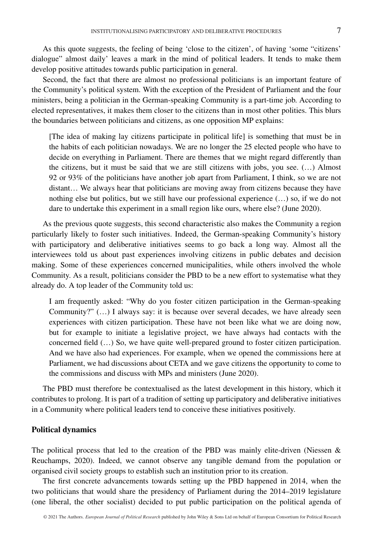As this quote suggests, the feeling of being 'close to the citizen', of having 'some "citizens' dialogue" almost daily' leaves a mark in the mind of political leaders. It tends to make them develop positive attitudes towards public participation in general.

Second, the fact that there are almost no professional politicians is an important feature of the Community's political system. With the exception of the President of Parliament and the four ministers, being a politician in the German-speaking Community is a part-time job. According to elected representatives, it makes them closer to the citizens than in most other polities. This blurs the boundaries between politicians and citizens, as one opposition MP explains:

[The idea of making lay citizens participate in political life] is something that must be in the habits of each politician nowadays. We are no longer the 25 elected people who have to decide on everything in Parliament. There are themes that we might regard differently than the citizens, but it must be said that we are still citizens with jobs, you see. (…) Almost 92 or 93% of the politicians have another job apart from Parliament, I think, so we are not distant… We always hear that politicians are moving away from citizens because they have nothing else but politics, but we still have our professional experience (…) so, if we do not dare to undertake this experiment in a small region like ours, where else? (June 2020).

As the previous quote suggests, this second characteristic also makes the Community a region particularly likely to foster such initiatives. Indeed, the German-speaking Community's history with participatory and deliberative initiatives seems to go back a long way. Almost all the interviewees told us about past experiences involving citizens in public debates and decision making. Some of these experiences concerned municipalities, while others involved the whole Community. As a result, politicians consider the PBD to be a new effort to systematise what they already do. A top leader of the Community told us:

I am frequently asked: "Why do you foster citizen participation in the German-speaking Community?" (…) I always say: it is because over several decades, we have already seen experiences with citizen participation. These have not been like what we are doing now, but for example to initiate a legislative project, we have always had contacts with the concerned field (…) So, we have quite well-prepared ground to foster citizen participation. And we have also had experiences. For example, when we opened the commissions here at Parliament, we had discussions about CETA and we gave citizens the opportunity to come to the commissions and discuss with MPs and ministers (June 2020).

The PBD must therefore be contextualised as the latest development in this history, which it contributes to prolong. It is part of a tradition of setting up participatory and deliberative initiatives in a Community where political leaders tend to conceive these initiatives positively.

#### **Political dynamics**

The political process that led to the creation of the PBD was mainly elite-driven (Niessen  $\&$ Reuchamps, 2020). Indeed, we cannot observe any tangible demand from the population or organised civil society groups to establish such an institution prior to its creation.

The first concrete advancements towards setting up the PBD happened in 2014, when the two politicians that would share the presidency of Parliament during the 2014–2019 legislature (one liberal, the other socialist) decided to put public participation on the political agenda of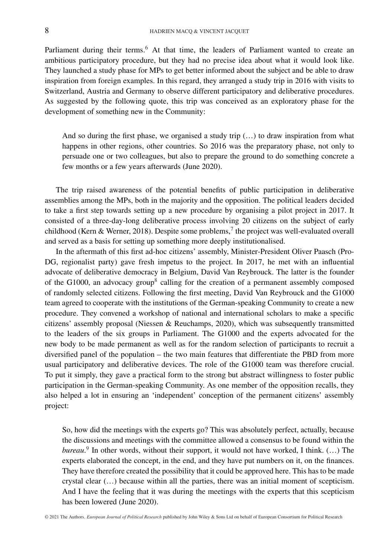Parliament during their terms.<sup>6</sup> At that time, the leaders of Parliament wanted to create an ambitious participatory procedure, but they had no precise idea about what it would look like. They launched a study phase for MPs to get better informed about the subject and be able to draw inspiration from foreign examples. In this regard, they arranged a study trip in 2016 with visits to Switzerland, Austria and Germany to observe different participatory and deliberative procedures. As suggested by the following quote, this trip was conceived as an exploratory phase for the development of something new in the Community:

And so during the first phase, we organised a study trip  $(...)$  to draw inspiration from what happens in other regions, other countries. So 2016 was the preparatory phase, not only to persuade one or two colleagues, but also to prepare the ground to do something concrete a few months or a few years afterwards (June 2020).

The trip raised awareness of the potential benefits of public participation in deliberative assemblies among the MPs, both in the majority and the opposition. The political leaders decided to take a first step towards setting up a new procedure by organising a pilot project in 2017. It consisted of a three-day-long deliberative process involving 20 citizens on the subject of early childhood (Kern & Werner, 2018). Despite some problems, $\frac{7}{1}$  the project was well-evaluated overall and served as a basis for setting up something more deeply institutionalised.

In the aftermath of this first ad-hoc citizens' assembly, Minister-President Oliver Paasch (Pro-DG, regionalist party) gave fresh impetus to the project. In 2017, he met with an influential advocate of deliberative democracy in Belgium, David Van Reybrouck. The latter is the founder of the G1000, an advocacy group<sup>8</sup> calling for the creation of a permanent assembly composed of randomly selected citizens. Following the first meeting, David Van Reybrouck and the G1000 team agreed to cooperate with the institutions of the German-speaking Community to create a new procedure. They convened a workshop of national and international scholars to make a specific citizens' assembly proposal (Niessen & Reuchamps, 2020), which was subsequently transmitted to the leaders of the six groups in Parliament. The G1000 and the experts advocated for the new body to be made permanent as well as for the random selection of participants to recruit a diversified panel of the population – the two main features that differentiate the PBD from more usual participatory and deliberative devices. The role of the G1000 team was therefore crucial. To put it simply, they gave a practical form to the strong but abstract willingness to foster public participation in the German-speaking Community. As one member of the opposition recalls, they also helped a lot in ensuring an 'independent' conception of the permanent citizens' assembly project:

So, how did the meetings with the experts go? This was absolutely perfect, actually, because the discussions and meetings with the committee allowed a consensus to be found within the *bureau*. <sup>9</sup> In other words, without their support, it would not have worked, I think. (…) The experts elaborated the concept, in the end, and they have put numbers on it, on the finances. They have therefore created the possibility that it could be approved here. This has to be made crystal clear (…) because within all the parties, there was an initial moment of scepticism. And I have the feeling that it was during the meetings with the experts that this scepticism has been lowered (June 2020).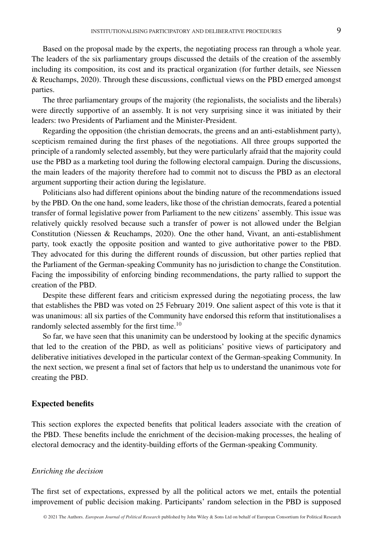Based on the proposal made by the experts, the negotiating process ran through a whole year. The leaders of the six parliamentary groups discussed the details of the creation of the assembly including its composition, its cost and its practical organization (for further details, see Niessen & Reuchamps, 2020). Through these discussions, conflictual views on the PBD emerged amongst parties.

The three parliamentary groups of the majority (the regionalists, the socialists and the liberals) were directly supportive of an assembly. It is not very surprising since it was initiated by their leaders: two Presidents of Parliament and the Minister-President.

Regarding the opposition (the christian democrats, the greens and an anti-establishment party), scepticism remained during the first phases of the negotiations. All three groups supported the principle of a randomly selected assembly, but they were particularly afraid that the majority could use the PBD as a marketing tool during the following electoral campaign. During the discussions, the main leaders of the majority therefore had to commit not to discuss the PBD as an electoral argument supporting their action during the legislature.

Politicians also had different opinions about the binding nature of the recommendations issued by the PBD. On the one hand, some leaders, like those of the christian democrats, feared a potential transfer of formal legislative power from Parliament to the new citizens' assembly. This issue was relatively quickly resolved because such a transfer of power is not allowed under the Belgian Constitution (Niessen & Reuchamps, 2020). One the other hand, Vivant, an anti-establishment party, took exactly the opposite position and wanted to give authoritative power to the PBD. They advocated for this during the different rounds of discussion, but other parties replied that the Parliament of the German-speaking Community has no jurisdiction to change the Constitution. Facing the impossibility of enforcing binding recommendations, the party rallied to support the creation of the PBD.

Despite these different fears and criticism expressed during the negotiating process, the law that establishes the PBD was voted on 25 February 2019. One salient aspect of this vote is that it was unanimous: all six parties of the Community have endorsed this reform that institutionalises a randomly selected assembly for the first time.<sup>10</sup>

So far, we have seen that this unanimity can be understood by looking at the specific dynamics that led to the creation of the PBD, as well as politicians' positive views of participatory and deliberative initiatives developed in the particular context of the German-speaking Community. In the next section, we present a final set of factors that help us to understand the unanimous vote for creating the PBD.

#### **Expected benefits**

This section explores the expected benefits that political leaders associate with the creation of the PBD. These benefits include the enrichment of the decision-making processes, the healing of electoral democracy and the identity-building efforts of the German-speaking Community.

#### *Enriching the decision*

The first set of expectations, expressed by all the political actors we met, entails the potential improvement of public decision making. Participants' random selection in the PBD is supposed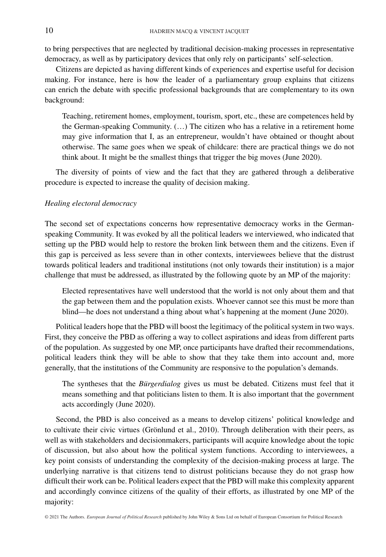to bring perspectives that are neglected by traditional decision-making processes in representative democracy, as well as by participatory devices that only rely on participants' self-selection.

Citizens are depicted as having different kinds of experiences and expertise useful for decision making. For instance, here is how the leader of a parliamentary group explains that citizens can enrich the debate with specific professional backgrounds that are complementary to its own background:

Teaching, retirement homes, employment, tourism, sport, etc., these are competences held by the German-speaking Community. (…) The citizen who has a relative in a retirement home may give information that I, as an entrepreneur, wouldn't have obtained or thought about otherwise. The same goes when we speak of childcare: there are practical things we do not think about. It might be the smallest things that trigger the big moves (June 2020).

The diversity of points of view and the fact that they are gathered through a deliberative procedure is expected to increase the quality of decision making.

#### *Healing electoral democracy*

The second set of expectations concerns how representative democracy works in the Germanspeaking Community. It was evoked by all the political leaders we interviewed, who indicated that setting up the PBD would help to restore the broken link between them and the citizens. Even if this gap is perceived as less severe than in other contexts, interviewees believe that the distrust towards political leaders and traditional institutions (not only towards their institution) is a major challenge that must be addressed, as illustrated by the following quote by an MP of the majority:

Elected representatives have well understood that the world is not only about them and that the gap between them and the population exists. Whoever cannot see this must be more than blind—he does not understand a thing about what's happening at the moment (June 2020).

Political leaders hope that the PBD will boost the legitimacy of the political system in two ways. First, they conceive the PBD as offering a way to collect aspirations and ideas from different parts of the population. As suggested by one MP, once participants have drafted their recommendations, political leaders think they will be able to show that they take them into account and, more generally, that the institutions of the Community are responsive to the population's demands.

The syntheses that the *Bürgerdialog* gives us must be debated. Citizens must feel that it means something and that politicians listen to them. It is also important that the government acts accordingly (June 2020).

Second, the PBD is also conceived as a means to develop citizens' political knowledge and to cultivate their civic virtues (Grönlund et al., 2010). Through deliberation with their peers, as well as with stakeholders and decisionmakers, participants will acquire knowledge about the topic of discussion, but also about how the political system functions. According to interviewees, a key point consists of understanding the complexity of the decision-making process at large. The underlying narrative is that citizens tend to distrust politicians because they do not grasp how difficult their work can be. Political leaders expect that the PBD will make this complexity apparent and accordingly convince citizens of the quality of their efforts, as illustrated by one MP of the majority: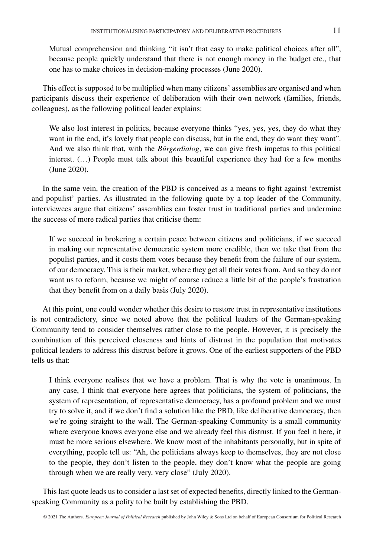Mutual comprehension and thinking "it isn't that easy to make political choices after all", because people quickly understand that there is not enough money in the budget etc., that one has to make choices in decision-making processes (June 2020).

This effect is supposed to be multiplied when many citizens' assemblies are organised and when participants discuss their experience of deliberation with their own network (families, friends, colleagues), as the following political leader explains:

We also lost interest in politics, because everyone thinks "yes, yes, yes, they do what they want in the end, it's lovely that people can discuss, but in the end, they do want they want". And we also think that, with the *Bürgerdialog*, we can give fresh impetus to this political interest. (…) People must talk about this beautiful experience they had for a few months (June 2020).

In the same vein, the creation of the PBD is conceived as a means to fight against 'extremist and populist' parties. As illustrated in the following quote by a top leader of the Community, interviewees argue that citizens' assemblies can foster trust in traditional parties and undermine the success of more radical parties that criticise them:

If we succeed in brokering a certain peace between citizens and politicians, if we succeed in making our representative democratic system more credible, then we take that from the populist parties, and it costs them votes because they benefit from the failure of our system, of our democracy. This is their market, where they get all their votes from. And so they do not want us to reform, because we might of course reduce a little bit of the people's frustration that they benefit from on a daily basis (July 2020).

At this point, one could wonder whether this desire to restore trust in representative institutions is not contradictory, since we noted above that the political leaders of the German-speaking Community tend to consider themselves rather close to the people. However, it is precisely the combination of this perceived closeness and hints of distrust in the population that motivates political leaders to address this distrust before it grows. One of the earliest supporters of the PBD tells us that:

I think everyone realises that we have a problem. That is why the vote is unanimous. In any case, I think that everyone here agrees that politicians, the system of politicians, the system of representation, of representative democracy, has a profound problem and we must try to solve it, and if we don't find a solution like the PBD, like deliberative democracy, then we're going straight to the wall. The German-speaking Community is a small community where everyone knows everyone else and we already feel this distrust. If you feel it here, it must be more serious elsewhere. We know most of the inhabitants personally, but in spite of everything, people tell us: "Ah, the politicians always keep to themselves, they are not close to the people, they don't listen to the people, they don't know what the people are going through when we are really very, very close" (July 2020).

This last quote leads us to consider a last set of expected benefits, directly linked to the Germanspeaking Community as a polity to be built by establishing the PBD.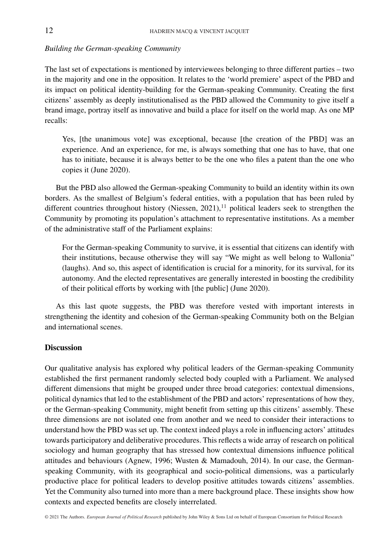# *Building the German-speaking Community*

The last set of expectations is mentioned by interviewees belonging to three different parties – two in the majority and one in the opposition. It relates to the 'world premiere' aspect of the PBD and its impact on political identity-building for the German-speaking Community. Creating the first citizens' assembly as deeply institutionalised as the PBD allowed the Community to give itself a brand image, portray itself as innovative and build a place for itself on the world map. As one MP recalls:

Yes, [the unanimous vote] was exceptional, because [the creation of the PBD] was an experience. And an experience, for me, is always something that one has to have, that one has to initiate, because it is always better to be the one who files a patent than the one who copies it (June 2020).

But the PBD also allowed the German-speaking Community to build an identity within its own borders. As the smallest of Belgium's federal entities, with a population that has been ruled by different countries throughout history (Niessen,  $2021$ ),<sup>11</sup> political leaders seek to strengthen the Community by promoting its population's attachment to representative institutions. As a member of the administrative staff of the Parliament explains:

For the German-speaking Community to survive, it is essential that citizens can identify with their institutions, because otherwise they will say "We might as well belong to Wallonia" (laughs). And so, this aspect of identification is crucial for a minority, for its survival, for its autonomy. And the elected representatives are generally interested in boosting the credibility of their political efforts by working with [the public] (June 2020).

As this last quote suggests, the PBD was therefore vested with important interests in strengthening the identity and cohesion of the German-speaking Community both on the Belgian and international scenes.

# **Discussion**

Our qualitative analysis has explored why political leaders of the German-speaking Community established the first permanent randomly selected body coupled with a Parliament. We analysed different dimensions that might be grouped under three broad categories: contextual dimensions, political dynamics that led to the establishment of the PBD and actors' representations of how they, or the German-speaking Community, might benefit from setting up this citizens' assembly. These three dimensions are not isolated one from another and we need to consider their interactions to understand how the PBD was set up. The context indeed plays a role in influencing actors' attitudes towards participatory and deliberative procedures. This reflects a wide array of research on political sociology and human geography that has stressed how contextual dimensions influence political attitudes and behaviours (Agnew, 1996; Wusten & Mamadouh, 2014). In our case, the Germanspeaking Community, with its geographical and socio-political dimensions, was a particularly productive place for political leaders to develop positive attitudes towards citizens' assemblies. Yet the Community also turned into more than a mere background place. These insights show how contexts and expected benefits are closely interrelated.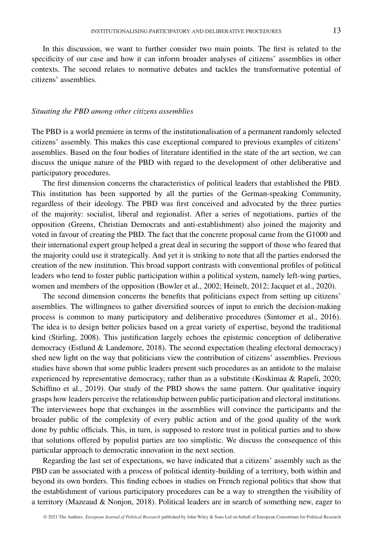In this discussion, we want to further consider two main points. The first is related to the specificity of our case and how it can inform broader analyses of citizens' assemblies in other contexts. The second relates to normative debates and tackles the transformative potential of citizens' assemblies.

#### *Situating the PBD among other citizens assemblies*

The PBD is a world premiere in terms of the institutionalisation of a permanent randomly selected citizens' assembly. This makes this case exceptional compared to previous examples of citizens' assemblies. Based on the four bodies of literature identified in the state of the art section, we can discuss the unique nature of the PBD with regard to the development of other deliberative and participatory procedures.

The first dimension concerns the characteristics of political leaders that established the PBD. This institution has been supported by all the parties of the German-speaking Community, regardless of their ideology. The PBD was first conceived and advocated by the three parties of the majority: socialist, liberal and regionalist. After a series of negotiations, parties of the opposition (Greens, Christian Democrats and anti-establishment) also joined the majority and voted in favour of creating the PBD. The fact that the concrete proposal came from the G1000 and their international expert group helped a great deal in securing the support of those who feared that the majority could use it strategically. And yet it is striking to note that all the parties endorsed the creation of the new institution. This broad support contrasts with conventional profiles of political leaders who tend to foster public participation within a political system, namely left-wing parties, women and members of the opposition (Bowler et al., 2002; Heinelt, 2012; Jacquet et al., 2020).

The second dimension concerns the benefits that politicians expect from setting up citizens' assemblies. The willingness to gather diversified sources of input to enrich the decision-making process is common to many participatory and deliberative procedures (Sintomer et al., 2016). The idea is to design better policies based on a great variety of expertise, beyond the traditional kind (Stirling, 2008). This justification largely echoes the epistemic conception of deliberative democracy (Estlund & Landemore, 2018). The second expectation (healing electoral democracy) shed new light on the way that politicians view the contribution of citizens' assemblies. Previous studies have shown that some public leaders present such procedures as an antidote to the malaise experienced by representative democracy, rather than as a substitute (Koskimaa & Rapeli, 2020; Schiffino et al., 2019). Our study of the PBD shows the same pattern. Our qualitative inquiry grasps how leaders perceive the relationship between public participation and electoral institutions. The interviewees hope that exchanges in the assemblies will convince the participants and the broader public of the complexity of every public action and of the good quality of the work done by public officials. This, in turn, is supposed to restore trust in political parties and to show that solutions offered by populist parties are too simplistic. We discuss the consequence of this particular approach to democratic innovation in the next section.

Regarding the last set of expectations, we have indicated that a citizens' assembly such as the PBD can be associated with a process of political identity-building of a territory, both within and beyond its own borders. This finding echoes in studies on French regional politics that show that the establishment of various participatory procedures can be a way to strengthen the visibility of a territory (Mazeaud & Nonjon, 2018). Political leaders are in search of something new, eager to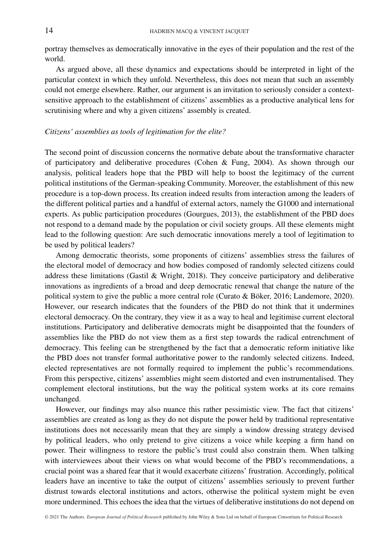portray themselves as democratically innovative in the eyes of their population and the rest of the world.

As argued above, all these dynamics and expectations should be interpreted in light of the particular context in which they unfold. Nevertheless, this does not mean that such an assembly could not emerge elsewhere. Rather, our argument is an invitation to seriously consider a contextsensitive approach to the establishment of citizens' assemblies as a productive analytical lens for scrutinising where and why a given citizens' assembly is created.

#### *Citizens' assemblies as tools of legitimation for the elite?*

The second point of discussion concerns the normative debate about the transformative character of participatory and deliberative procedures (Cohen & Fung, 2004). As shown through our analysis, political leaders hope that the PBD will help to boost the legitimacy of the current political institutions of the German-speaking Community. Moreover, the establishment of this new procedure is a top-down process. Its creation indeed results from interaction among the leaders of the different political parties and a handful of external actors, namely the G1000 and international experts. As public participation procedures (Gourgues, 2013), the establishment of the PBD does not respond to a demand made by the population or civil society groups. All these elements might lead to the following question: Are such democratic innovations merely a tool of legitimation to be used by political leaders?

Among democratic theorists, some proponents of citizens' assemblies stress the failures of the electoral model of democracy and how bodies composed of randomly selected citizens could address these limitations (Gastil & Wright, 2018). They conceive participatory and deliberative innovations as ingredients of a broad and deep democratic renewal that change the nature of the political system to give the public a more central role (Curato & Böker, 2016; Landemore, 2020). However, our research indicates that the founders of the PBD do not think that it undermines electoral democracy. On the contrary, they view it as a way to heal and legitimise current electoral institutions. Participatory and deliberative democrats might be disappointed that the founders of assemblies like the PBD do not view them as a first step towards the radical entrenchment of democracy. This feeling can be strengthened by the fact that a democratic reform initiative like the PBD does not transfer formal authoritative power to the randomly selected citizens. Indeed, elected representatives are not formally required to implement the public's recommendations. From this perspective, citizens' assemblies might seem distorted and even instrumentalised. They complement electoral institutions, but the way the political system works at its core remains unchanged.

However, our findings may also nuance this rather pessimistic view. The fact that citizens' assemblies are created as long as they do not dispute the power held by traditional representative institutions does not necessarily mean that they are simply a window dressing strategy devised by political leaders, who only pretend to give citizens a voice while keeping a firm hand on power. Their willingness to restore the public's trust could also constrain them. When talking with interviewees about their views on what would become of the PBD's recommendations, a crucial point was a shared fear that it would exacerbate citizens' frustration. Accordingly, political leaders have an incentive to take the output of citizens' assemblies seriously to prevent further distrust towards electoral institutions and actors, otherwise the political system might be even more undermined. This echoes the idea that the virtues of deliberative institutions do not depend on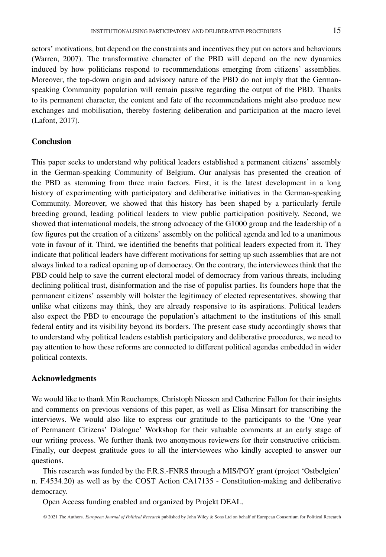actors' motivations, but depend on the constraints and incentives they put on actors and behaviours (Warren, 2007). The transformative character of the PBD will depend on the new dynamics induced by how politicians respond to recommendations emerging from citizens' assemblies. Moreover, the top-down origin and advisory nature of the PBD do not imply that the Germanspeaking Community population will remain passive regarding the output of the PBD. Thanks to its permanent character, the content and fate of the recommendations might also produce new exchanges and mobilisation, thereby fostering deliberation and participation at the macro level (Lafont, 2017).

# **Conclusion**

This paper seeks to understand why political leaders established a permanent citizens' assembly in the German-speaking Community of Belgium. Our analysis has presented the creation of the PBD as stemming from three main factors. First, it is the latest development in a long history of experimenting with participatory and deliberative initiatives in the German-speaking Community. Moreover, we showed that this history has been shaped by a particularly fertile breeding ground, leading political leaders to view public participation positively. Second, we showed that international models, the strong advocacy of the G1000 group and the leadership of a few figures put the creation of a citizens' assembly on the political agenda and led to a unanimous vote in favour of it. Third, we identified the benefits that political leaders expected from it. They indicate that political leaders have different motivations for setting up such assemblies that are not always linked to a radical opening up of democracy. On the contrary, the interviewees think that the PBD could help to save the current electoral model of democracy from various threats, including declining political trust, disinformation and the rise of populist parties. Its founders hope that the permanent citizens' assembly will bolster the legitimacy of elected representatives, showing that unlike what citizens may think, they are already responsive to its aspirations. Political leaders also expect the PBD to encourage the population's attachment to the institutions of this small federal entity and its visibility beyond its borders. The present case study accordingly shows that to understand why political leaders establish participatory and deliberative procedures, we need to pay attention to how these reforms are connected to different political agendas embedded in wider political contexts.

#### **Acknowledgments**

We would like to thank Min Reuchamps, Christoph Niessen and Catherine Fallon for their insights and comments on previous versions of this paper, as well as Elisa Minsart for transcribing the interviews. We would also like to express our gratitude to the participants to the 'One year of Permanent Citizens' Dialogue' Workshop for their valuable comments at an early stage of our writing process. We further thank two anonymous reviewers for their constructive criticism. Finally, our deepest gratitude goes to all the interviewees who kindly accepted to answer our questions.

This research was funded by the F.R.S.-FNRS through a MIS/PGY grant (project 'Ostbelgien' n. F.4534.20) as well as by the COST Action CA17135 - Constitution-making and deliberative democracy.

Open Access funding enabled and organized by Projekt DEAL.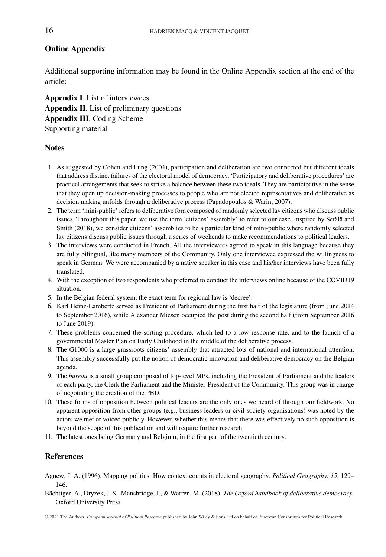# **Online Appendix**

Additional supporting information may be found in the Online Appendix section at the end of the article:

**Appendix I**. List of interviewees **Appendix II**. List of preliminary questions **Appendix III**. Coding Scheme Supporting material

## **Notes**

- 1. As suggested by Cohen and Fung (2004), participation and deliberation are two connected but different ideals that address distinct failures of the electoral model of democracy. 'Participatory and deliberative procedures' are practical arrangements that seek to strike a balance between these two ideals. They are participative in the sense that they open up decision-making processes to people who are not elected representatives and deliberative as decision making unfolds through a deliberative process (Papadopoulos & Warin, 2007).
- 2. The term 'mini-public' refers to deliberative fora composed of randomly selected lay citizens who discuss public issues. Throughout this paper, we use the term 'citizens' assembly' to refer to our case. Inspired by Setälä and Smith (2018), we consider citizens' assemblies to be a particular kind of mini-public where randomly selected lay citizens discuss public issues through a series of weekends to make recommendations to political leaders.
- 3. The interviews were conducted in French. All the interviewees agreed to speak in this language because they are fully bilingual, like many members of the Community. Only one interviewee expressed the willingness to speak in German. We were accompanied by a native speaker in this case and his/her interviews have been fully translated.
- 4. With the exception of two respondents who preferred to conduct the interviews online because of the COVID19 situation.
- 5. In the Belgian federal system, the exact term for regional law is 'decree'.
- 6. Karl Heinz-Lambertz served as President of Parliament during the first half of the legislature (from June 2014 to September 2016), while Alexander Miesen occupied the post during the second half (from September 2016 to June 2019).
- 7. These problems concerned the sorting procedure, which led to a low response rate, and to the launch of a governmental Master Plan on Early Childhood in the middle of the deliberative process.
- 8. The G1000 is a large grassroots citizens' assembly that attracted lots of national and international attention. This assembly successfully put the notion of democratic innovation and deliberative democracy on the Belgian agenda.
- 9. The *bureau* is a small group composed of top-level MPs, including the President of Parliament and the leaders of each party, the Clerk the Parliament and the Minister-President of the Community. This group was in charge of negotiating the creation of the PBD.
- 10. These forms of opposition between political leaders are the only ones we heard of through our fieldwork. No apparent opposition from other groups (e.g., business leaders or civil society organisations) was noted by the actors we met or voiced publicly. However, whether this means that there was effectively no such opposition is beyond the scope of this publication and will require further research.
- 11. The latest ones being Germany and Belgium, in the first part of the twentieth century.

# **References**

- Agnew, J. A. (1996). Mapping politics: How context counts in electoral geography. *Political Geography*, *15*, 129– 146.
- Bächtiger, A., Dryzek, J. S., Mansbridge, J., & Warren, M. (2018). *The Oxford handbook of deliberative democracy*. Oxford University Press.

© 2021 The Authors. *European Journal of Political Research* published by John Wiley & Sons Ltd on behalf of European Consortium for Political Research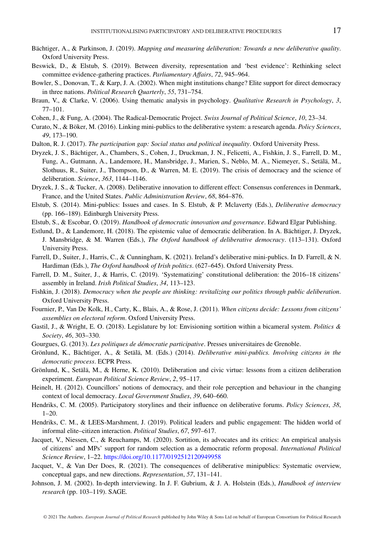- Bächtiger, A., & Parkinson, J. (2019). *Mapping and measuring deliberation: Towards a new deliberative quality*. Oxford University Press.
- Beswick, D., & Elstub, S. (2019). Between diversity, representation and 'best evidence': Rethinking select committee evidence-gathering practices. *Parliamentary Affairs*, *72*, 945–964.
- Bowler, S., Donovan, T., & Karp, J. A. (2002). When might institutions change? Elite support for direct democracy in three nations. *Political Research Quarterly*, *55*, 731–754.
- Braun, V., & Clarke, V. (2006). Using thematic analysis in psychology. *Qualitative Research in Psychology*, *3*, 77–101.
- Cohen, J., & Fung, A. (2004). The Radical-Democratic Project. *Swiss Journal of Political Science*, *10*, 23–34.
- Curato, N., & Böker, M. (2016). Linking mini-publics to the deliberative system: a research agenda. *Policy Sciences*, *49*, 173–190.
- Dalton, R. J. (2017). *The participation gap: Social status and political inequality*. Oxford University Press.
- Dryzek, J. S., Bächtiger, A., Chambers, S., Cohen, J., Druckman, J. N., Felicetti, A., Fishkin, J. S., Farrell, D. M., Fung, A., Gutmann, A., Landemore, H., Mansbridge, J., Marien, S., Neblo, M. A., Niemeyer, S., Setälä, M., Slothuus, R., Suiter, J., Thompson, D., & Warren, M. E. (2019). The crisis of democracy and the science of deliberation. *Science*, *363*, 1144–1146.
- Dryzek, J. S., & Tucker, A. (2008). Deliberative innovation to different effect: Consensus conferences in Denmark, France, and the United States. *Public Administration Review*, *68*, 864–876.
- Elstub, S. (2014). Mini-publics: Issues and cases. In S. Elstub, & P. Mclaverty (Eds.), *Deliberative democracy* (pp. 166–189). Edinburgh University Press.
- Elstub, S., & Escobar, O. (2019). *Handbook of democratic innovation and governance*. Edward Elgar Publishing.
- Estlund, D., & Landemore, H. (2018). The epistemic value of democratic deliberation. In A. Bächtiger, J. Dryzek, J. Mansbridge, & M. Warren (Eds.), *The Oxford handbook of deliberative democracy*. (113–131). Oxford University Press.
- Farrell, D., Suiter, J., Harris, C., & Cunningham, K. (2021). Ireland's deliberative mini-publics. In D. Farrell, & N. Hardiman (Eds.), *The Oxford handbook of Irish politics*. (627–645). Oxford University Press.
- Farrell, D. M., Suiter, J., & Harris, C. (2019). 'Systematizing' constitutional deliberation: the 2016–18 citizens' assembly in Ireland. *Irish Political Studies*, *34*, 113–123.
- Fishkin, J. (2018). *Democracy when the people are thinking: revitalizing our politics through public deliberation*. Oxford University Press.
- Fournier, P., Van De Kolk, H., Carty, K., Blais, A., & Rose, J. (2011). *When citizens decide: Lessons from citizens' assemblies on electoral reform*. Oxford University Press.
- Gastil, J., & Wright, E. O. (2018). Legislature by lot: Envisioning sortition within a bicameral system. *Politics & Society*, *46*, 303–330.
- Gourgues, G. (2013). *Les politiques de démocratie participative*. Presses universitaires de Grenoble.
- Grönlund, K., Bächtiger, A., & Setälä, M. (Eds.) (2014). *Deliberative mini-publics. Involving citizens in the democratic process*. ECPR Press.
- Grönlund, K., Setälä, M., & Herne, K. (2010). Deliberation and civic virtue: lessons from a citizen deliberation experiment. *European Political Science Review*, *2*, 95–117.
- Heinelt, H. (2012). Councillors' notions of democracy, and their role perception and behaviour in the changing context of local democracy. *Local Government Studies*, *39*, 640–660.
- Hendriks, C. M. (2005). Participatory storylines and their influence on deliberative forums. *Policy Sciences*, *38*,  $1 - 20.$
- Hendriks, C. M., & LEES-Marshment, J. (2019). Political leaders and public engagement: The hidden world of informal elite–citizen interaction. *Political Studies*, *67*, 597–617.
- Jacquet, V., Niessen, C., & Reuchamps, M. (2020). Sortition, its advocates and its critics: An empirical analysis of citizens' and MPs' support for random selection as a democratic reform proposal. *International Political Science Review*, 1–22. <https://doi.org/10.1177/0192512120949958>
- Jacquet, V., & Van Der Does, R. (2021). The consequences of deliberative minipublics: Systematic overview, conceptual gaps, and new directions. *Representation*, *57*, 131–141.
- Johnson, J. M. (2002). In-depth interviewing. In J. F. Gubrium, & J. A. Holstein (Eds.), *Handbook of interview research* (pp. 103–119). SAGE.